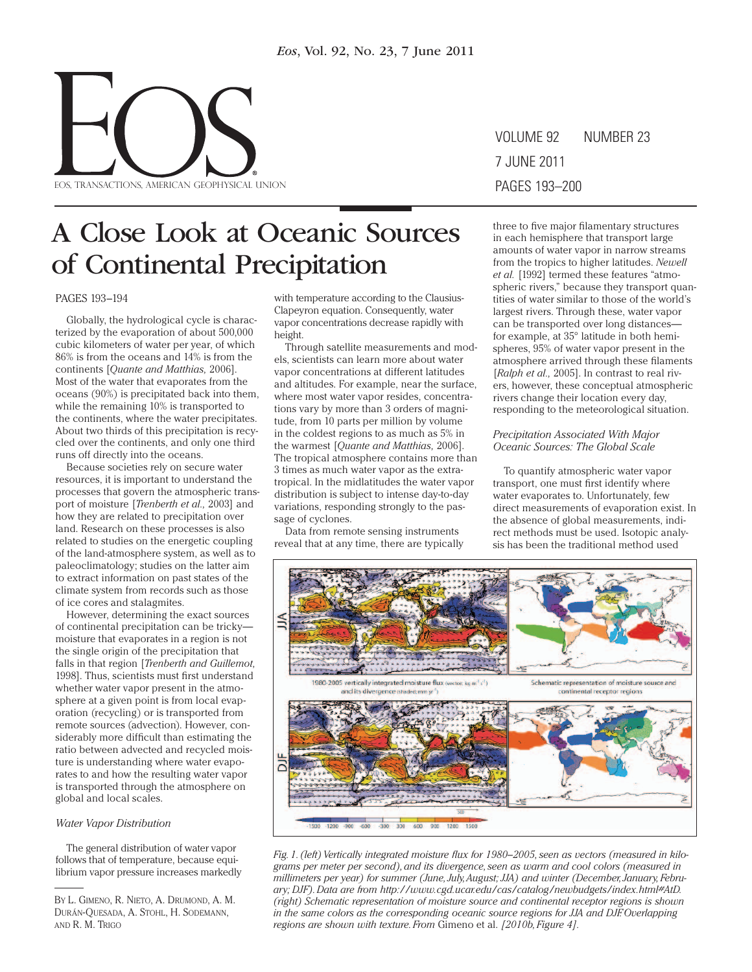

# Volume 92 number 23 7 JunE 2011 pages 193–200

# A Close Look at Oceanic Sources of Continental Precipitation

#### PAGES 193–194

Globally, the hydrological cycle is characterized by the evaporation of about 500,000 cubic kilometers of water per year, of which 86% is from the oceans and 14% is from the continents [*Quante and Matthias,* 2006]. Most of the water that evaporates from the oceans (90%) is precipitated back into them, while the remaining 10% is transported to the continents, where the water precipitates. About two thirds of this precipitation is recycled over the continents, and only one third runs off directly into the oceans.

Because societies rely on secure water resources, it is important to understand the processes that govern the atmospheric transport of moisture [*Trenberth et al.,* 2003] and how they are related to precipitation over land. Research on these processes is also related to studies on the energetic coupling of the land-atmosphere system, as well as to paleoclimatology; studies on the latter aim to extract information on past states of the climate system from records such as those of ice cores and stalagmites.

However, determining the exact sources of continental precipitation can be tricky moisture that evaporates in a region is not the single origin of the precipitation that falls in that region [*Trenberth and Guillemot,* 1998]. Thus, scientists must first understand whether water vapor present in the atmosphere at a given point is from local evaporation (recycling) or is transported from remote sources (advection). However, considerably more difficult than estimating the ratio between advected and recycled moisture is understanding where water evaporates to and how the resulting water vapor is transported through the atmosphere on global and local scales.

#### *Water Vapor Distribution*

The general distribution of water vapor follows that of temperature, because equilibrium vapor pressure increases markedly with temperature according to the Clausius-Clapeyron equation. Consequently, water vapor concentrations decrease rapidly with height.

Through satellite measurements and models, scientists can learn more about water vapor concentrations at different latitudes and altitudes. For example, near the surface, where most water vapor resides, concentrations vary by more than 3 orders of magnitude, from 10 parts per million by volume in the coldest regions to as much as 5% in the warmest [*Quante and Matthias,* 2006]. The tropical atmosphere contains more than 3 times as much water vapor as the extratropical. In the midlatitudes the water vapor distribution is subject to intense day-to-day variations, responding strongly to the passage of cyclones.

Data from remote sensing instruments reveal that at any time, there are typically

three to five major filamentary structures in each hemisphere that transport large amounts of water vapor in narrow streams from the tropics to higher latitudes. *Newell et al.* [1992] termed these features "atmospheric rivers," because they transport quantities of water similar to those of the world's largest rivers. Through these, water vapor can be transported over long distances for example, at 35° latitude in both hemispheres, 95% of water vapor present in the atmosphere arrived through these filaments [*Ralph et al., 2005*]. In contrast to real rivers, however, these conceptual atmospheric rivers change their location every day, responding to the meteorological situation.

#### *Precipitation Associated With Major Oceanic Sources: The Global Scale*

To quantify atmospheric water vapor transport, one must first identify where water evaporates to. Unfortunately, few direct measurements of evaporation exist. In the absence of global measurements, indirect methods must be used. Isotopic analysis has been the traditional method used



*Fig. 1. (left) Vertically integrated moisture flux for 1980–2005, seen as vectors (measured in kilograms per meter per second), and its divergence, seen as warm and cool colors (measured in millimeters per year) for summer (June, July, August; JJA) and winter (December, January, February; DJF). Data are from http://www.cgd.ucar.edu/cas/catalog/newbudgets/index.html#AtD. (right) Schematic representation of moisture source and continental receptor regions is shown in the same colors as the corresponding oceanic source regions for JJA and DJF. Overlapping regions are shown with texture. From* Gimeno et al. *[2010b, Figure 4].*

By L. Gimeno, R. Nieto, A. Drumond, A. M. Durán-Quesada, A. Stohl, H. Sodemann, and R. M. Trigo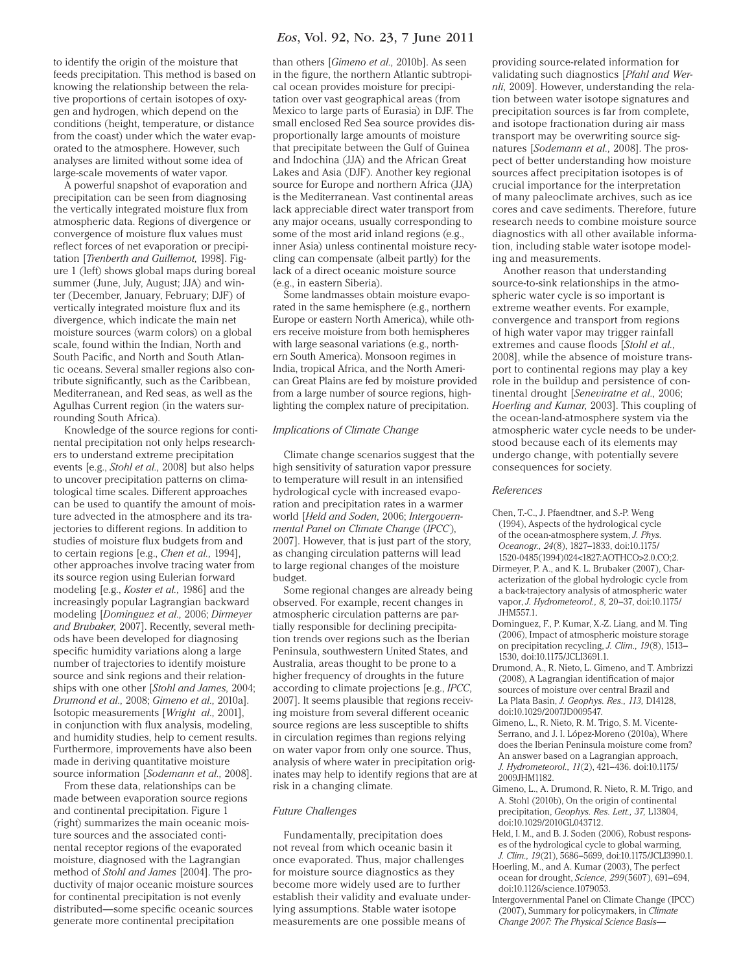#### *Eos*, Vol. 92, No. 23, 7 June 2011

to identify the origin of the moisture that feeds precipitation. This method is based on knowing the relationship between the relative proportions of certain isotopes of oxygen and hydrogen, which depend on the conditions (height, temperature, or distance from the coast) under which the water evaporated to the atmosphere. However, such analyses are limited without some idea of large-scale movements of water vapor.

A powerful snapshot of evaporation and precipitation can be seen from diagnosing the vertically integrated moisture flux from atmospheric data. Regions of divergence or convergence of moisture flux values must reflect forces of net evaporation or precipitation [*Trenberth and Guillemot,* 1998]. Figure 1 (left) shows global maps during boreal summer (June, July, August; JJA) and winter (December, January, February; DJF) of vertically integrated moisture flux and its divergence, which indicate the main net moisture sources (warm colors) on a global scale, found within the Indian, North and South Pacific, and North and South Atlantic oceans. Several smaller regions also contribute significantly, such as the Caribbean, Mediterranean, and Red seas, as well as the Agulhas Current region (in the waters surrounding South Africa).

Knowledge of the source regions for continental precipitation not only helps researchers to understand extreme precipitation events [e.g., *Stohl et al.,* 2008] but also helps to uncover precipitation patterns on climatological time scales. Different approaches can be used to quantify the amount of moisture advected in the atmosphere and its trajectories to different regions. In addition to studies of moisture flux budgets from and to certain regions [e.g., *Chen et al.,* 1994], other approaches involve tracing water from its source region using Eulerian forward modeling [e.g., *Koster et al.,* 1986] and the increasingly popular Lagrangian backward modeling [*Dominguez et al.,* 2006; *Dirmeyer and Brubaker,* 2007]. Recently, several methods have been developed for diagnosing specific humidity variations along a large number of trajectories to identify moisture source and sink regions and their relationships with one other [*Stohl and James,* 2004; *Drumond et al.,* 2008; *Gimeno et al.,* 2010a]. Isotopic measurements [*Wright al.,* 2001], in conjunction with flux analysis, modeling, and humidity studies, help to cement results. Furthermore, improvements have also been made in deriving quantitative moisture source information [*Sodemann et al.,* 2008].

From these data, relationships can be made between evaporation source regions and continental precipitation. Figure 1 (right) summarizes the main oceanic moisture sources and the associated continental receptor regions of the evaporated moisture, diagnosed with the Lagrangian method of *Stohl and James* [2004]. The productivity of major oceanic moisture sources for continental precipitation is not evenly distributed—some specific oceanic sources generate more continental precipitation

than others [*Gimeno et al.,* 2010b]. As seen in the figure, the northern Atlantic subtropical ocean provides moisture for precipitation over vast geographical areas (from Mexico to large parts of Eurasia) in DJF. The small enclosed Red Sea source provides disproportionally large amounts of moisture that precipitate between the Gulf of Guinea and Indochina (JJA) and the African Great Lakes and Asia (DJF). Another key regional source for Europe and northern Africa (JJA) is the Mediterranean. Vast continental areas lack appreciable direct water transport from any major oceans, usually corresponding to some of the most arid inland regions (e.g., inner Asia) unless continental moisture recycling can compensate (albeit partly) for the lack of a direct oceanic moisture source (e.g., in eastern Siberia).

Some landmasses obtain moisture evaporated in the same hemisphere (e.g., northern Europe or eastern North America), while others receive moisture from both hemispheres with large seasonal variations (e.g., northern South America). Monsoon regimes in India, tropical Africa, and the North American Great Plains are fed by moisture provided from a large number of source regions, highlighting the complex nature of precipitation.

#### *Implications of Climate Change*

Climate change scenarios suggest that the high sensitivity of saturation vapor pressure to temperature will result in an intensified hydrological cycle with increased evaporation and precipitation rates in a warmer world [*Held and Soden,* 2006; *Intergovernmental Panel on Climate Change* (*IPCC*)*,* 2007]. However, that is just part of the story, as changing circulation patterns will lead to large regional changes of the moisture budget.

Some regional changes are already being observed. For example, recent changes in atmospheric circulation patterns are partially responsible for declining precipitation trends over regions such as the Iberian Peninsula, southwestern United States, and Australia, areas thought to be prone to a higher frequency of droughts in the future according to climate projections [e.g., *IPCC,* 2007]. It seems plausible that regions receiving moisture from several different oceanic source regions are less susceptible to shifts in circulation regimes than regions relying on water vapor from only one source. Thus, analysis of where water in precipitation originates may help to identify regions that are at risk in a changing climate.

#### *Future Challenges*

Fundamentally, precipitation does not reveal from which oceanic basin it once evaporated. Thus, major challenges for moisture source diagnostics as they become more widely used are to further establish their validity and evaluate underlying assumptions. Stable water isotope measurements are one possible means of

providing source-related information for validating such diagnostics [*Pfahl and Wernli,* 2009]. However, understanding the relation between water isotope signatures and precipitation sources is far from complete, and isotope fractionation during air mass transport may be overwriting source signatures [*Sodemann et al.,* 2008]. The prospect of better understanding how moisture sources affect precipitation isotopes is of crucial importance for the interpretation of many paleoclimate archives, such as ice cores and cave sediments. Therefore, future research needs to combine moisture source diagnostics with all other available information, including stable water isotope modeling and measurements.

Another reason that understanding source-to-sink relationships in the atmospheric water cycle is so important is extreme weather events. For example, convergence and transport from regions of high water vapor may trigger rainfall extremes and cause floods [*Stohl et al.,* 2008], while the absence of moisture transport to continental regions may play a key role in the buildup and persistence of continental drought [*Seneviratne et al.,* 2006; *Hoerling and Kumar,* 2003]. This coupling of the ocean-land-atmosphere system via the atmospheric water cycle needs to be understood because each of its elements may undergo change, with potentially severe consequences for society.

#### *References*

- Chen, T.-C., J. Pfaendtner, and S.-P. Weng (1994), Aspects of the hydrological cycle of the ocean-atmosphere system, *J. Phys. Oceanogr., 24*(8), 1827–1833, doi:10.1175/ 1520-0485(1994)024<1827:AOTHCO>2.0.CO;2.
- Dirmeyer, P. A., and K. L. Brubaker (2007), Characterization of the global hydrologic cycle from a back-trajectory analysis of atmospheric water vapor, *J. Hydrometeorol., 8,* 20–37, doi:10.1175/ JHM557.1.
- Dominguez, F., P. Kumar, X.-Z. Liang, and M. Ting (2006), Impact of atmospheric moisture storage on precipitation recycling, *J. Clim., 19*(8), 1513– 1530, doi:10.1175/JCLI3691.1.
- [Drumond](http://ephyslab.uvigo.es/index.php/eng/personal/anita_r_drumond), A., [R. Nieto](http://ephyslab.uvigo.es/index.php/eng/personal/dra_raquel_olalla_nieto_mu_iz), [L. Gimeno,](http://ephyslab.uvigo.es/index.php/eng/personal/dr_luis_gimeno_presa) and T. Ambrizzi (2008), A Lagrangian identification of major sources of moisture over central Brazil and La Plata Basin, *J. Geophys. Res., 113,* D14128, doi:10.1029/2007JD009547.
- Gimeno, L., R. Nieto, R. M. Trigo, S. M. Vicente-Serrano, and J. I. López-Moreno (2010a), Where does the Iberian Peninsula moisture come from? An answer based on a Lagrangian approach, *J. Hydrometeorol., 11*(2), 421–436. doi:10.1175/ 2009JHM1182.
- Gimeno, L., A. Drumond, R. Nieto, R. M. Trigo, and A. Stohl (2010b), On the origin of continental precipitation, *Geophys. Res. Lett., 37,* L13804, doi:10.1029/2010GL043712.
- Held, I. M., and B. J. Soden (2006), Robust responses of the hydrological cycle to global warming, *J. Clim., 19*(21), 5686–5699, doi:10.1175/JCLI3990.1.
- Hoerling, M., and A. Kumar (2003), The perfect ocean for drought, *Science, 299*(5607), 691–694, doi:10.1126/science.1079053.
- Intergovernmental Panel on Climate Change (IPCC) (2007), Summary for policymakers, in *Climate Change 2007: The Physical Science Basis—*